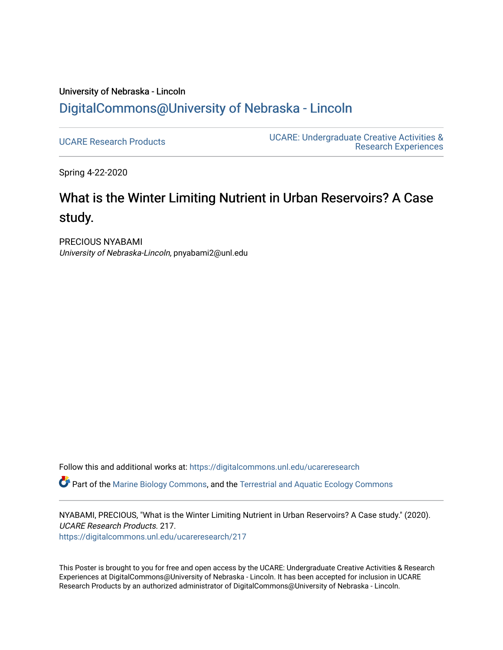#### University of Nebraska - Lincoln [DigitalCommons@University of Nebraska - Lincoln](https://digitalcommons.unl.edu/)

[UCARE Research Products](https://digitalcommons.unl.edu/ucareresearch) [UCARE: Undergraduate Creative Activities &](https://digitalcommons.unl.edu/ucare)  [Research Experiences](https://digitalcommons.unl.edu/ucare) 

Spring 4-22-2020

#### What is the Winter Limiting Nutrient in Urban Reservoirs? A Case study.

PRECIOUS NYABAMI University of Nebraska-Lincoln, pnyabami2@unl.edu

Follow this and additional works at: [https://digitalcommons.unl.edu/ucareresearch](https://digitalcommons.unl.edu/ucareresearch?utm_source=digitalcommons.unl.edu%2Fucareresearch%2F217&utm_medium=PDF&utm_campaign=PDFCoverPages) 

Part of the [Marine Biology Commons,](http://network.bepress.com/hgg/discipline/1126?utm_source=digitalcommons.unl.edu%2Fucareresearch%2F217&utm_medium=PDF&utm_campaign=PDFCoverPages) and the [Terrestrial and Aquatic Ecology Commons](http://network.bepress.com/hgg/discipline/20?utm_source=digitalcommons.unl.edu%2Fucareresearch%2F217&utm_medium=PDF&utm_campaign=PDFCoverPages) 

NYABAMI, PRECIOUS, "What is the Winter Limiting Nutrient in Urban Reservoirs? A Case study." (2020). UCARE Research Products. 217. [https://digitalcommons.unl.edu/ucareresearch/217](https://digitalcommons.unl.edu/ucareresearch/217?utm_source=digitalcommons.unl.edu%2Fucareresearch%2F217&utm_medium=PDF&utm_campaign=PDFCoverPages) 

This Poster is brought to you for free and open access by the UCARE: Undergraduate Creative Activities & Research Experiences at DigitalCommons@University of Nebraska - Lincoln. It has been accepted for inclusion in UCARE Research Products by an authorized administrator of DigitalCommons@University of Nebraska - Lincoln.